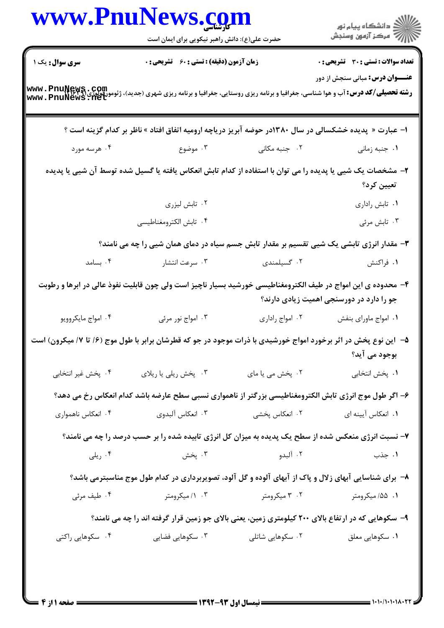|                        | www.PnuNews.com                                                                                                                                                        |                  | الار دانشگاه پيام نور<br>۱۳۸۸ مرکز آزمون وسنجش |  |
|------------------------|------------------------------------------------------------------------------------------------------------------------------------------------------------------------|------------------|------------------------------------------------|--|
|                        | حضرت علی(ع): دانش راهبر نیکویی برای ایمان است                                                                                                                          |                  |                                                |  |
| <b>سری سوال :</b> یک ۱ | <b>زمان آزمون (دقیقه) : تستی : 60 ٪ تشریحی : 0</b>                                                                                                                     |                  | <b>تعداد سوالات : تستی : 30 ٪ تشریحی : 0</b>   |  |
|                        | <b>رشته تحصیلی/کد درس: آ</b> ب و هوا شناسی، جغرافیا و برنامه ریزی روستایی، جغرافیا و برنامه ریزی شهری (جدید)، ژئومورفولوژی (www . PnuNews . Act<br>www . PnuNews . Net |                  | <b>عنـــوان درس:</b> مبانی سنجش از دور         |  |
|                        | ا- عبارت « پدیده خشکسالی در سال ۱۳۸۰در حوضه آبریز دریاچه ارومیه اتفاق افتاد » ناظر بر کدام گزینه است ؟                                                                 |                  |                                                |  |
| ۰۴ هرسه مورد           | ۰۲ جنبه مکانی سه ۲۰ موضوع .                                                                                                                                            |                  | ۰۱ جنبه زمانی                                  |  |
|                        | ۲– مشخصات یک شیی یا پدیده را می توان با استفاده از کدام تابش انعکاس یافته یا گسیل شده توسط آن شیی یا پدیده                                                             |                  | تعيين كرد؟                                     |  |
|                        | ۰۲ تابش لیزری                                                                                                                                                          |                  | ٠١ تابش رادارى                                 |  |
|                        | ۰۴ تابش الكترومغناطيسي                                                                                                                                                 |                  | ۰۳ تابش مرئی                                   |  |
|                        | ۳- مقدار انرژی تابشی یک شیی تقسیم بر مقدار تابش جسم سیاه در دمای همان شیی را چه می نامند؟                                                                              |                  |                                                |  |
| ۰۴ بسامد               | ۰۳ سرعت انتشار                                                                                                                                                         | ۰۲ گسیلمندی      | ۱. فراکنش                                      |  |
|                        | ۴– محدوده ی این امواج در طیف الکترومغناطیسی خورشید بسیار ناچیز است ولی چون قابلیت نفوذ عالی در ابرها و رطوبت                                                           |                  | جو را دارد در دورسنجی اهمیت زیادی دارند؟       |  |
| ۰۴ امواج مايكروويو     | ۰۳ امواج نور مرئی                                                                                                                                                      | ۰۲ امواج راداری  | ٠١. امواج ماوراي بنفش                          |  |
|                        | ۵– آین نوع پخش در اثر برخورد امواج خورشیدی با ذرات موجود در جو که قطرشان برابر با طول موج (۶/ تا ۷/ میکرون) است                                                        |                  | بوجود می آید؟                                  |  |
| ۰۴ پخش غیر انتخابی     | ۰۳ پخش ریلی یا ریلای                                                                                                                                                   | ۰۲ پخش می یا مای | ٠١. پخش انتخابي                                |  |
|                        | ۶– اگر طول موج انرژی تابش الکترومغناطیسی بزرگتر از ناهمواری نسبی سطح عارضه باشد کدام انعکاس رخ می دهد؟                                                                 |                  |                                                |  |
| ۰۴ انعکاس ناهمواری     | ۰۳ انعکاس آلبدوی                                                                                                                                                       | ۰۲ انعکاس پخشی   | ٠١. انعكاس آيينه اي                            |  |
|                        | ۷- نسبت انرژی منعکس شده از سطح یک پدیده به میزان کل انرژی تابیده شده را بر حسب درصد را چه می نامند؟                                                                    |                  |                                                |  |
| ۰۴ ریلی                | ۰۳ پخش                                                                                                                                                                 | ۰۲ آلېدو         | ۰۱ جذب                                         |  |
|                        | ۸–  برای شناسایی آبهای زلال و پاک از آبهای آلوده و گل آلود، تصویربرداری در کدام طول موج مناسبترمی باشد؟                                                                |                  |                                                |  |
| ۰۴ طیف مرئی            | ۰۳ /۱ میکرومتر                                                                                                                                                         | ۰۲ میکرومتر      | ۰۱ ۵۵/ میکرومتر                                |  |
|                        | ۹- سکوهایی که در ارتفاع بالای ۲۰۰ کیلومتری زمین، یعنی بالای جو زمین قرار گرفته اند را چه می نامند؟                                                                     |                  |                                                |  |
| ۰۴ سکوهایی راکتی       | ۰۳ سکوهایی فضایی                                                                                                                                                       | ۰۲ سکوهایی شاتلی | ۰۱ سکوهایی معلق                                |  |

 $= 1.1 - 11.1 - 11.1 - 17$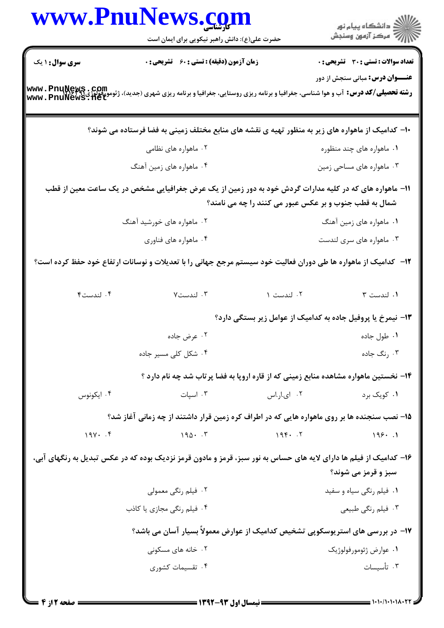|                            | www.PnuNews.com                                                                                                                                                       |                                                             | الان دانشگاه پيام نور<br>الان مرکز آزمون وسنجش |  |
|----------------------------|-----------------------------------------------------------------------------------------------------------------------------------------------------------------------|-------------------------------------------------------------|------------------------------------------------|--|
|                            | حضرت علی(ع): دانش راهبر نیکویی برای ایمان است                                                                                                                         |                                                             |                                                |  |
| سری سوال: ۱ یک             | زمان آزمون (دقیقه) : تستی : 60 ٪ تشریحی : 0                                                                                                                           |                                                             | <b>تعداد سوالات : تستي : 30 ٪ تشريحي : 0</b>   |  |
|                            | <b>رشته تحصیلی/کد درس:</b> آب و هوا شناسی، جغرافیا و برنامه ریزی روستایی، جغرافیا و برنامه ریزی شهری (جدید)، ژئومورفولوژی؟ www . PnuNews . net<br>www . PnuNews . net |                                                             | <b>عنـــوان درس:</b> مبانی سنجش از دور         |  |
|                            | ∙ا− کدامیک از ماهواره های زیر به منظور تهیه ی نقشه های منابع مختلف زمینی به فضا فرستاده می شوند؟                                                                      |                                                             |                                                |  |
|                            | ۰۲ ماهواره های نظامی                                                                                                                                                  |                                                             | ۰۱ ماهواره های چند منظوره                      |  |
|                            | ۰۴ ماهواره های زمین آهنگ                                                                                                                                              |                                                             | ۰۳ ماهواره های مساحی زمین                      |  |
|                            | 1۱– ماهواره های که در کلیه مدارات گردش خود به دور زمین از یک عرض جغرافیایی مشخص در یک ساعت معین از قطب                                                                | شمال به قطب جنوب و بر عکس عبور می کنند را چه می نامند؟      |                                                |  |
| ۰۲ ماهواره های خورشید آهنگ |                                                                                                                                                                       |                                                             | ۰۱ ماهواره های زمین آهنگ                       |  |
|                            | ۰۴ ماهواره های فناوری                                                                                                                                                 |                                                             | ۰۳ ماهواره های سری لندست                       |  |
|                            | <b>۱۲</b> - کدامیک از ماهواره ها طی دوران فعالیت خود سیستم مرجع جهانی را با تعدیلات و نوسانات ارتفاع خود حفظ کرده است؟                                                |                                                             |                                                |  |
| ۰۴ لندست۴                  | ۰۳ لندست۷                                                                                                                                                             | ۰۲ لندست ۱                                                  | ٠١ لندست ٣                                     |  |
|                            |                                                                                                                                                                       | ۱۳- نیمرخ یا پروفیل جاده به کدامیک از عوامل زیر بستگی دارد؟ |                                                |  |
|                            | ۰۲ عرض جاده                                                                                                                                                           |                                                             | ۰۱ طول جاده                                    |  |
|                            | ۰۴ شکل کلی مسیر جاده                                                                                                                                                  |                                                             | ۰۳ نگ جاده                                     |  |
|                            | ۱۴- نخستین ماهواره مشاهده منابع زمینی که از قاره اروپا به فضا پرتاب شد چه نام دارد ؟                                                                                  |                                                             |                                                |  |
| ۰۴ ایکونوس                 | ۰۳ اسیات                                                                                                                                                              | ۰۲ ای.ار.اس                                                 | ۰۱ کویک برد                                    |  |
|                            | ۱۵– نصب سنجنده ها بر روی ماهواره هایی که در اطراف کره زمین قرار داشتند از چه زمانی آغاز شد؟                                                                           |                                                             |                                                |  |
|                            |                                                                                                                                                                       |                                                             |                                                |  |
| $19Y \cdot .5$             | $190 \cdot 7$                                                                                                                                                         | 195.7                                                       | 199.1                                          |  |
|                            | ۱۶- کدامیک از فیلم ها دارای لایه های حساس به نور سبز، قرمز و مادون قرمز نزدیک بوده که در عکس تبدیل به رنگهای آبی،                                                     |                                                             | سبز و قرمز می شوند؟                            |  |
|                            | ۰۲ فیلم رنگی معمولی                                                                                                                                                   |                                                             | ۰۱ فیلم رنگی سیاه و سفید                       |  |
|                            | ۰۴ فیلم رنگی مجازی یا کاذب                                                                                                                                            |                                                             | ۰۳ فیلم رنگی طبیعی                             |  |
|                            | ۱۷– در بررسی های استریوسکوپی تشخیص کدامیک از عوارض معمولاً بسیار آسان می باشد؟                                                                                        |                                                             |                                                |  |
|                            | ۰۲ خانه های مسکونی                                                                                                                                                    |                                                             | ۰۱ عوارض ژئومورفولوژیک                         |  |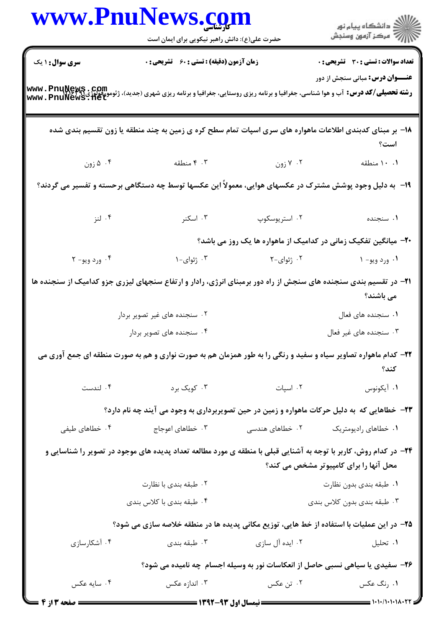|                                                                                                         | www.PnuNews.com<br>حضرت علی(ع): دانش راهبر نیکویی برای ایمان است                                                                                                     |                 | ڪ دانشڪاه پيام نور<br>//> مرڪز آزمون وسنڊش                                    |  |  |
|---------------------------------------------------------------------------------------------------------|----------------------------------------------------------------------------------------------------------------------------------------------------------------------|-----------------|-------------------------------------------------------------------------------|--|--|
| سری سوال: ۱ یک                                                                                          | زمان آزمون (دقیقه) : تستی : 60 گشریحی : 0                                                                                                                            |                 | تعداد سوالات : تستي : 30 قشريحي : 0                                           |  |  |
|                                                                                                         | <b>رشته تحصیلی/کد درس:</b> آب و هوا شناسی، جغرافیا و برنامه ریزی روستایی، جغرافیا و برنامه ریزی شهری (جدید)، ژئومورفولوژی؟؟؟؟؟ www . PnuNews<br>www . PnuNews . 11et |                 | <b>عنـــوان درس:</b> مبانی سنجش از دور                                        |  |  |
|                                                                                                         | ۱۸– بر مبنای کدبندی اطلاعات ماهواره های سری اسپات تمام سطح کره ی زمین به چند منطقه یا زون تقسیم بندی شده                                                             |                 | است؟                                                                          |  |  |
| ۰۴ زون                                                                                                  | ۰۳ منطقه                                                                                                                                                             | ۰۲ کا زون       | ۰.۱ منطقه                                                                     |  |  |
| ۱۹- به دلیل وجود پوشش مشترک در عکسهای هوایی، معمولاً این عکسها توسط چه دستگاهی برحسته و تفسیر می گردند؟ |                                                                                                                                                                      |                 |                                                                               |  |  |
| ۰۴ لنز                                                                                                  | ۰۳ اسکنر                                                                                                                                                             | ۰۲ استریوسکوپ   | ۰۱ سنجنده                                                                     |  |  |
|                                                                                                         |                                                                                                                                                                      |                 | +۲- میانگین تفکیک زمانی در کدامیک از ماهواره ها یک روز می باشد؟               |  |  |
| ۰۴ ورد ويو- ۲                                                                                           | ۰۳ ژئوای-۱                                                                                                                                                           | ۰۲ ژئوای-۲      | ۰۱ ورد ويو- ۱                                                                 |  |  |
|                                                                                                         | ۲۱– در تقسیم بندی سنجنده های سنجش از راه دور برمبنای انرژی، رادار و ارتفاع سنجهای لیزری جزو کدامیک از سنجنده ها                                                      |                 | می باشند؟                                                                     |  |  |
|                                                                                                         | ۰۲ سنجنده های غیر تصویر بردار                                                                                                                                        |                 | ٠١ سنجنده هاى فعال                                                            |  |  |
|                                                                                                         | ۰۴ سنجنده های تصویر بردار                                                                                                                                            |                 | ۰۳ سنجنده های غیر فعال                                                        |  |  |
|                                                                                                         | ۲۲- کدام ماهواره تصاویر سیاه و سفید و رنگی را به طور همزمان هم به صورت نواری و هم به صورت منطقه ای جمع آوری می                                                       |                 | كند؟                                                                          |  |  |
| ۰۴ لندست                                                                                                | ۰۳ کویک برد                                                                                                                                                          | ۰۲ اسپات        | ۰۱ آیکونوس                                                                    |  |  |
|                                                                                                         | ۲۳- خطاهایی که به دلیل حرکات ماهواره و زمین در حین تصویربرداری به وجود می آیند چه نام دارد؟                                                                          |                 |                                                                               |  |  |
| ۰۴ خطاهای طیفی                                                                                          | ۰۳ خطاهای اعوجاج                                                                                                                                                     | ۰۲ خطاهای هندسی | ۰۱ خطاهای رادیومتریک                                                          |  |  |
|                                                                                                         | ۲۴- در کدام روش، کاربر با توجه به آشنایی قبلی با منطقه ی مورد مطالعه تعداد پدیده های موجود در تصویر را شناسایی و                                                     |                 | محل آنها را برای کامپیوتر مشخص می کند؟                                        |  |  |
|                                                                                                         | ۰۲ طبقه بندی با نظارت                                                                                                                                                |                 | ۰۱ طبقه بندي بدون نظارت                                                       |  |  |
|                                                                                                         | ۰۴ طبقه بندی با کلاس بندی                                                                                                                                            |                 | ۰۳ طبقه بندي بدون كلاس بندي                                                   |  |  |
|                                                                                                         | ۲۵– در این عملیات با استفاده از خط هایی، توزیع مکانی پدیده ها در منطقه خلاصه سازی می شود؟                                                                            |                 |                                                                               |  |  |
| ۰۴ آشکارسازی                                                                                            | ۰۳ طبقه بندی                                                                                                                                                         | ۰۲ ایده آل سازی | ۰۱ تحلیل                                                                      |  |  |
|                                                                                                         |                                                                                                                                                                      |                 | ۲۶- سفیدی یا سیاهی نسبی حاصل از انعکاسات نور به وسیله اجسام چه نامیده می شود؟ |  |  |
| ۰۴ سایه عکس                                                                                             | ۰۳ اندازه عکس                                                                                                                                                        | ۰۲ تن عکس       | ۰۱ رنگ عکس                                                                    |  |  |
| <b>ـــ صفحه 3 از 4</b>                                                                                  |                                                                                                                                                                      |                 |                                                                               |  |  |